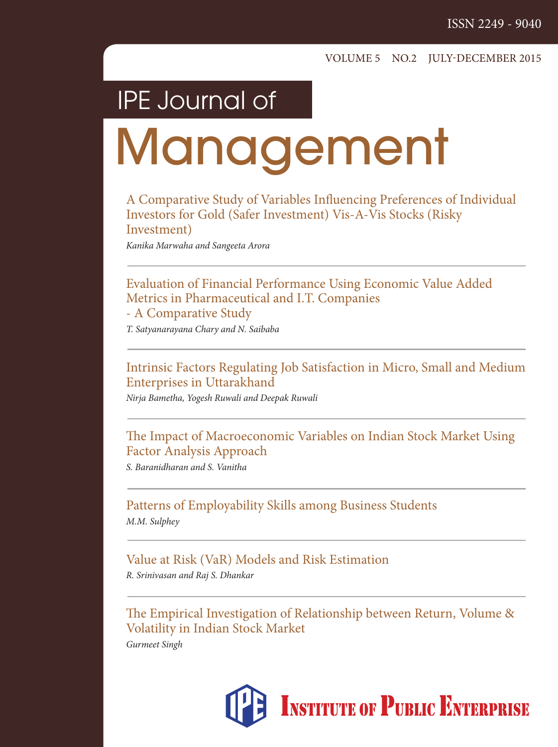### IPE Journal of

# **Management**

A Comparative Study of Variables Influencing Preferences of Individual Investors for Gold (Safer Investment) Vis-A-Vis Stocks (Risky Investment)

Kanika Marwaha and Sangeeta Arora

Evaluation of Financial Performance Using Economic Value Added Metrics in Pharmaceutical and I.T. Companies - A Comparative Study

T. Satyanarayana Chary and N. Saibaba

Intrinsic Factors Regulating Job Satisfaction in Micro, Small and Medium Enterprises in Uttarakhand

Nirja Bametha, Yogesh Ruwali and Deepak Ruwali

The Impact of Macroeconomic Variables on Indian Stock Market Using Factor Analysis Approach

S. Baranidharan and S. Vanitha

Patterns of Employability Skills among Business Students M.M. Sulphey

Value at Risk (VaR) Models and Risk Estimation R. Srinivasan and Raj S. Dhankar

The Empirical Investigation of Relationship between Return, Volume & Volatility in Indian Stock Market

Gurmeet Singh

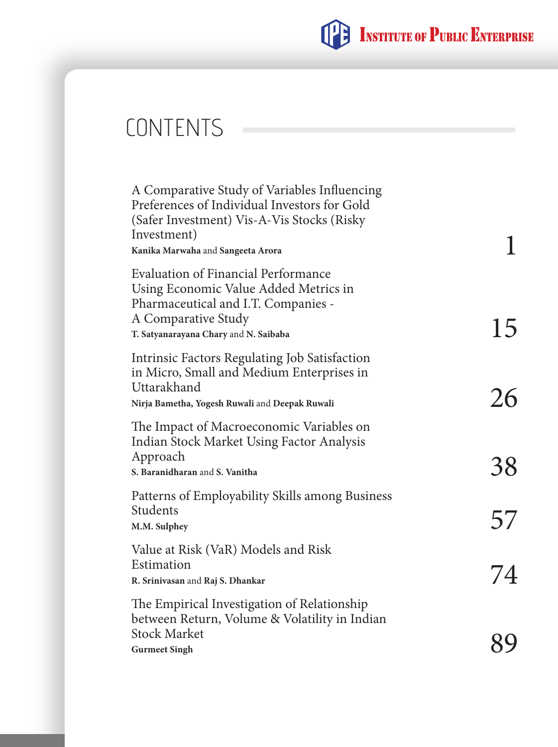

### **CONTENTS**

| A Comparative Study of Variables Influencing<br>Preferences of Individual Investors for Gold<br>(Safer Investment) Vis-A-Vis Stocks (Risky<br>Investment)<br>Kanika Marwaha and Sangeeta Arora |    |
|------------------------------------------------------------------------------------------------------------------------------------------------------------------------------------------------|----|
| <b>Evaluation of Financial Performance</b><br>Using Economic Value Added Metrics in<br>Pharmaceutical and I.T. Companies -<br>A Comparative Study<br>T. Satyanarayana Chary and N. Saibaba     | 15 |
| Intrinsic Factors Regulating Job Satisfaction<br>in Micro, Small and Medium Enterprises in<br>Uttarakhand<br>Nirja Bametha, Yogesh Ruwali and Deepak Ruwali                                    | 26 |
| The Impact of Macroeconomic Variables on<br>Indian Stock Market Using Factor Analysis<br>Approach<br>S. Baranidharan and S. Vanitha                                                            | 38 |
| Patterns of Employability Skills among Business<br>Students<br>M.M. Sulphey                                                                                                                    | 57 |
| Value at Risk (VaR) Models and Risk<br>Estimation<br>R. Srinivasan and Raj S. Dhankar                                                                                                          |    |
| The Empirical Investigation of Relationship<br>between Return, Volume & Volatility in Indian<br><b>Stock Market</b><br><b>Gurmeet Singh</b>                                                    |    |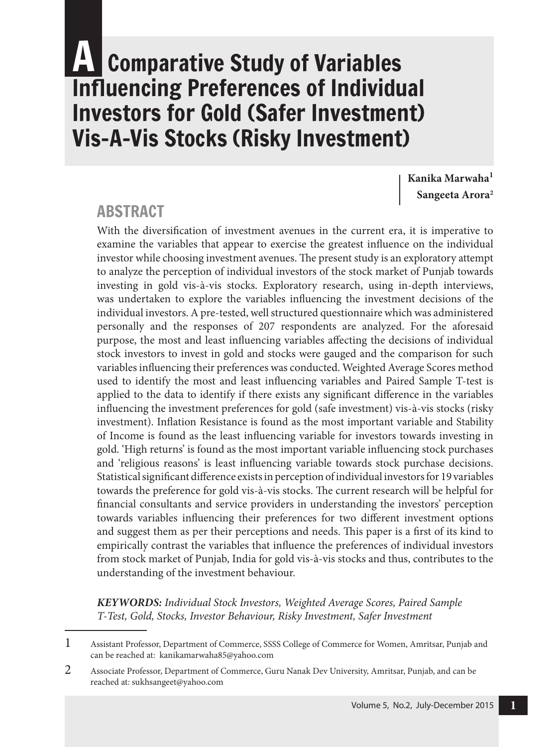### **A Comparative Study of Variables** Influencing Preferences of Individual Investors for Gold (Safer Investment) Vis-A-Vis Stocks (Risky Investment)

**Kanika Marwaha<sup>1</sup> Sangeeta Arora<sup>2</sup>**

#### **ABSTRACT**

With the diversification of investment avenues in the current era, it is imperative to examine the variables that appear to exercise the greatest influence on the individual investor while choosing investment avenues. The present study is an exploratory attempt to analyze the perception of individual investors of the stock market of Punjab towards investing in gold vis-à-vis stocks. Exploratory research, using in-depth interviews, was undertaken to explore the variables influencing the investment decisions of the individual investors. A pre-tested, well structured questionnaire which was administered personally and the responses of 207 respondents are analyzed. For the aforesaid purpose, the most and least influencing variables affecting the decisions of individual stock investors to invest in gold and stocks were gauged and the comparison for such variables influencing their preferences was conducted. Weighted Average Scores method used to identify the most and least influencing variables and Paired Sample T-test is applied to the data to identify if there exists any significant difference in the variables influencing the investment preferences for gold (safe investment) vis-à-vis stocks (risky investment). Inflation Resistance is found as the most important variable and Stability of Income is found as the least influencing variable for investors towards investing in gold. 'High returns' is found as the most important variable influencing stock purchases and 'religious reasons' is least influencing variable towards stock purchase decisions. Statistical significant difference exists in perception of individual investors for 19 variables towards the preference for gold vis-à-vis stocks. The current research will be helpful for financial consultants and service providers in understanding the investors' perception towards variables influencing their preferences for two different investment options and suggest them as per their perceptions and needs. This paper is a first of its kind to empirically contrast the variables that influence the preferences of individual investors from stock market of Punjab, India for gold vis-à-vis stocks and thus, contributes to the understanding of the investment behaviour.

**KEYWORDS:** Individual Stock Investors, Weighted Average Scores, Paired Sample T-Test, Gold, Stocks, Investor Behaviour, Risky Investment, Safer Investment

<sup>1</sup> Assistant Professor, Department of Commerce, SSSS College of Commerce for Women, Amritsar, Punjab and can be reached at: kanikamarwaha85@yahoo.com

<sup>2</sup> Associate Professor, Department of Commerce, Guru Nanak Dev University, Amritsar, Punjab, and can be reached at: sukhsangeet@yahoo.com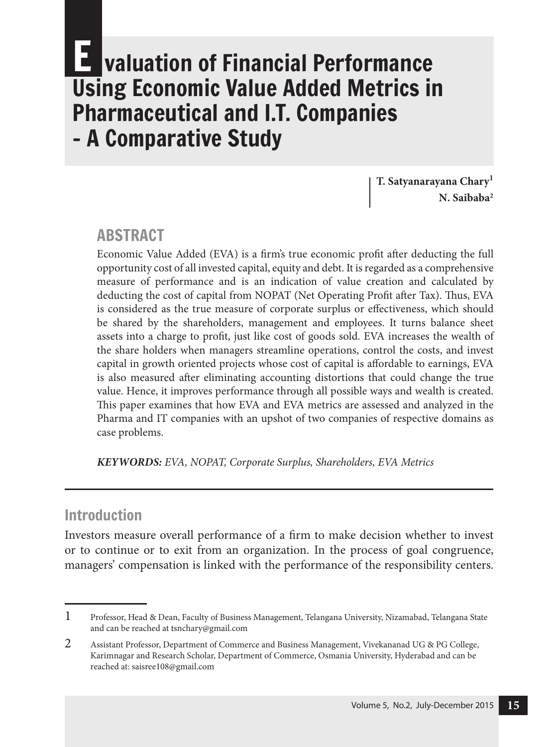### **Ivaluation of Financial Performance** Using Economic Value Added Metrics in Pharmaceutical and I.T. Companies - A Comparative Study

**T. Satyanarayana Chary<sup>1</sup> N. Saibaba<sup>2</sup>**

#### **ABSTRACT**

Economic Value Added (EVA) is a firm's true economic profit after deducting the full opportunity cost of all invested capital, equity and debt. It is regarded as a comprehensive measure of performance and is an indication of value creation and calculated by deducting the cost of capital from NOPAT (Net Operating Profit after Tax). Thus, EVA is considered as the true measure of corporate surplus or effectiveness, which should be shared by the shareholders, management and employees. It turns balance sheet assets into a charge to profit, just like cost of goods sold. EVA increases the wealth of the share holders when managers streamline operations, control the costs, and invest capital in growth oriented projects whose cost of capital is affordable to earnings, EVA is also measured after eliminating accounting distortions that could change the true value. Hence, it improves performance through all possible ways and wealth is created. This paper examines that how EVA and EVA metrics are assessed and analyzed in the Pharma and IT companies with an upshot of two companies of respective domains as case problems.

**KEYWORDS:** EVA, NOPAT, Corporate Surplus, Shareholders, EVA Metrics

#### Introduction

Investors measure overall performance of a firm to make decision whether to invest or to continue or to exit from an organization. In the process of goal congruence, managers' compensation is linked with the performance of the responsibility centers.

<sup>1</sup> Professor, Head & Dean, Faculty of Business Management, Telangana University, Nizamabad, Telangana State and can be reached at tsnchary@gmail.com

<sup>2</sup> Assistant Professor, Department of Commerce and Business Management, Vivekananad UG & PG College, Karimnagar and Research Scholar, Department of Commerce, Osmania University, Hyderabad and can be reached at: saisree108@gmail.com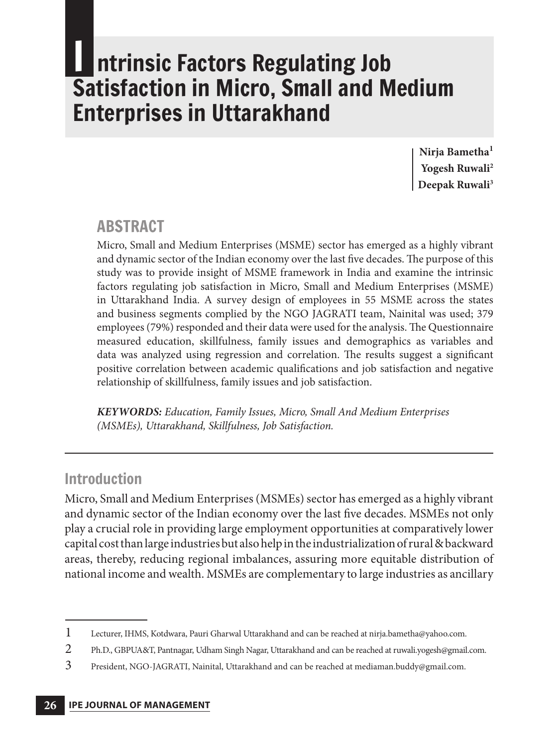### **Intrinsic Factors Regulating Job** Satisfaction in Micro, Small and Medium Enterprises in Uttarakhand

**Nirja Bametha<sup>1</sup> Yogesh Ruwali<sup>2</sup> Deepak Ruwali<sup>3</sup>**

#### **ABSTRACT**

Micro, Small and Medium Enterprises (MSME) sector has emerged as a highly vibrant and dynamic sector of the Indian economy over the last five decades. The purpose of this study was to provide insight of MSME framework in India and examine the intrinsic factors regulating job satisfaction in Micro, Small and Medium Enterprises (MSME) in Uttarakhand India. A survey design of employees in 55 MSME across the states and business segments complied by the NGO JAGRATI team, Nainital was used; 379 employees (79%) responded and their data were used for the analysis. The Questionnaire measured education, skillfulness, family issues and demographics as variables and data was analyzed using regression and correlation. The results suggest a significant positive correlation between academic qualifications and job satisfaction and negative relationship of skillfulness, family issues and job satisfaction.

**KEYWORDS:** Education, Family Issues, Micro, Small And Medium Enterprises (MSMEs), Uttarakhand, Skillfulness, Job Satisfaction.

#### Introduction

Micro, Small and Medium Enterprises (MSMEs) sector has emerged as a highly vibrant and dynamic sector of the Indian economy over the last five decades. MSMEs not only play a crucial role in providing large employment opportunities at comparatively lower capital cost than large industries but also help in the industrialization of rural & backward areas, thereby, reducing regional imbalances, assuring more equitable distribution of national income and wealth. MSMEs are complementary to large industries as ancillary

<sup>1</sup> Lecturer, IHMS, Kotdwara, Pauri Gharwal Uttarakhand and can be reached at nirja.bametha@yahoo.com.

<sup>2</sup> Ph.D., GBPUA&T, Pantnagar, Udham Singh Nagar, Uttarakhand and can be reached at ruwali.yogesh@gmail.com.

<sup>3</sup> President, NGO-JAGRATI, Nainital, Uttarakhand and can be reached at mediaman.buddy@gmail.com.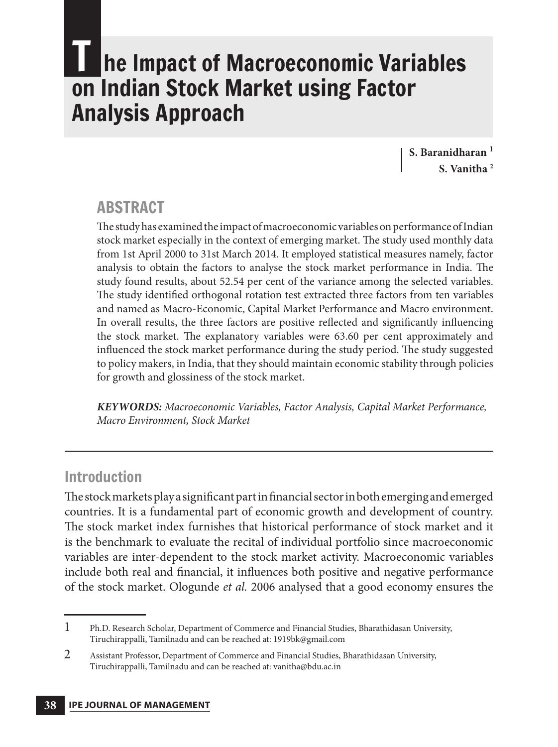### **he Impact of Macroeconomic Variables** on Indian Stock Market using Factor Analysis Approach

**S. Baranidharan <sup>1</sup> S. Vanitha <sup>2</sup>**

#### **ABSTRACT**

The study has examined the impact of macroeconomic variables on performance of Indian stock market especially in the context of emerging market. The study used monthly data from 1st April 2000 to 31st March 2014. It employed statistical measures namely, factor analysis to obtain the factors to analyse the stock market performance in India. The study found results, about 52.54 per cent of the variance among the selected variables. The study identified orthogonal rotation test extracted three factors from ten variables and named as Macro-Economic, Capital Market Performance and Macro environment. In overall results, the three factors are positive reflected and significantly influencing the stock market. The explanatory variables were 63.60 per cent approximately and influenced the stock market performance during the study period. The study suggested to policy makers, in India, that they should maintain economic stability through policies for growth and glossiness of the stock market.

**KEYWORDS:** Macroeconomic Variables, Factor Analysis, Capital Market Performance, Macro Environment, Stock Market

#### Introduction

The stock markets play a significant part in financial sector in both emerging and emerged countries. It is a fundamental part of economic growth and development of country. The stock market index furnishes that historical performance of stock market and it is the benchmark to evaluate the recital of individual portfolio since macroeconomic variables are inter-dependent to the stock market activity. Macroeconomic variables include both real and financial, it influences both positive and negative performance of the stock market. Ologunde et al. 2006 analysed that a good economy ensures the

<sup>1</sup> Ph.D. Research Scholar, Department of Commerce and Financial Studies, Bharathidasan University, Tiruchirappalli, Tamilnadu and can be reached at: 1919bk@gmail.com

<sup>2</sup> Assistant Professor, Department of Commerce and Financial Studies, Bharathidasan University, Tiruchirappalli, Tamilnadu and can be reached at: vanitha@bdu.ac.in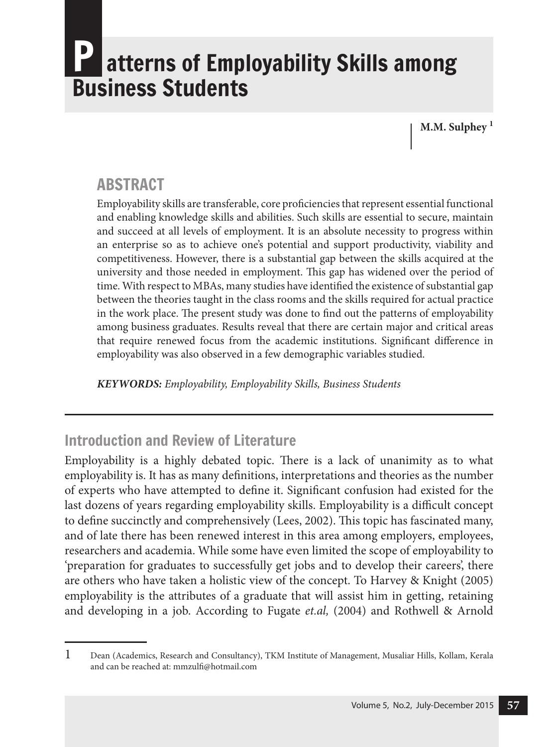### atterns of Employability Skills among Business Students

**M.M. Sulphey <sup>1</sup>**

#### **ABSTRACT**

Employability skills are transferable, core proficiencies that represent essential functional and enabling knowledge skills and abilities. Such skills are essential to secure, maintain and succeed at all levels of employment. It is an absolute necessity to progress within an enterprise so as to achieve one's potential and support productivity, viability and competitiveness. However, there is a substantial gap between the skills acquired at the university and those needed in employment. This gap has widened over the period of time. With respect to MBAs, many studies have identified the existence of substantial gap between the theories taught in the class rooms and the skills required for actual practice in the work place. The present study was done to find out the patterns of employability among business graduates. Results reveal that there are certain major and critical areas that require renewed focus from the academic institutions. Significant difference in employability was also observed in a few demographic variables studied.

**KEYWORDS:** Employability, Employability Skills, Business Students

#### Introduction and Review of Literature

Employability is a highly debated topic. There is a lack of unanimity as to what employability is. It has as many definitions, interpretations and theories as the number of experts who have attempted to define it. Significant confusion had existed for the last dozens of years regarding employability skills. Employability is a difficult concept to define succinctly and comprehensively (Lees, 2002). This topic has fascinated many, and of late there has been renewed interest in this area among employers, employees, researchers and academia. While some have even limited the scope of employability to 'preparation for graduates to successfully get jobs and to develop their careers', there are others who have taken a holistic view of the concept. To Harvey & Knight (2005) employability is the attributes of a graduate that will assist him in getting, retaining and developing in a job. According to Fugate et.al, (2004) and Rothwell & Arnold

<sup>1</sup> Dean (Academics, Research and Consultancy), TKM Institute of Management, Musaliar Hills, Kollam, Kerala and can be reached at: mmzulfi@hotmail.com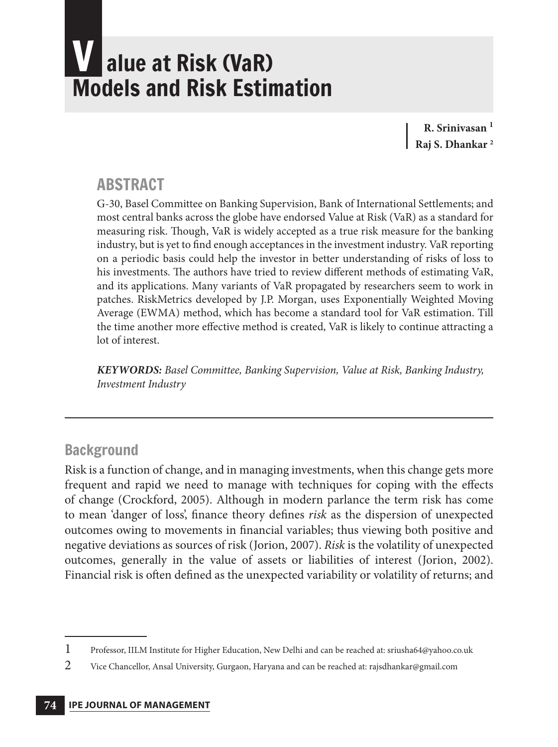## alue at Risk (VaR) Models and Risk Estimation

**R. Srinivasan <sup>1</sup> Raj S. Dhankar <sup>2</sup>**

#### **ABSTRACT**

G-30, Basel Committee on Banking Supervision, Bank of International Settlements; and most central banks across the globe have endorsed Value at Risk (VaR) as a standard for measuring risk. Though, VaR is widely accepted as a true risk measure for the banking industry, but is yet to find enough acceptances in the investment industry. VaR reporting on a periodic basis could help the investor in better understanding of risks of loss to his investments. The authors have tried to review different methods of estimating VaR, and its applications. Many variants of VaR propagated by researchers seem to work in patches. RiskMetrics developed by J.P. Morgan, uses Exponentially Weighted Moving Average (EWMA) method, which has become a standard tool for VaR estimation. Till the time another more effective method is created, VaR is likely to continue attracting a lot of interest.

**KEYWORDS:** Basel Committee, Banking Supervision, Value at Risk, Banking Industry, Investment Industry

#### **Background**

Risk is a function of change, and in managing investments, when this change gets more frequent and rapid we need to manage with techniques for coping with the effects of change (Crockford, 2005). Although in modern parlance the term risk has come to mean 'danger of loss', finance theory defines risk as the dispersion of unexpected outcomes owing to movements in financial variables; thus viewing both positive and negative deviations as sources of risk (Jorion, 2007). Risk is the volatility of unexpected outcomes, generally in the value of assets or liabilities of interest (Jorion, 2002). Financial risk is often defined as the unexpected variability or volatility of returns; and

<sup>1</sup> Professor, IILM Institute for Higher Education, New Delhi and can be reached at: sriusha64@yahoo.co.uk

<sup>2</sup> Vice Chancellor, Ansal University, Gurgaon, Haryana and can be reached at: rajsdhankar@gmail.com